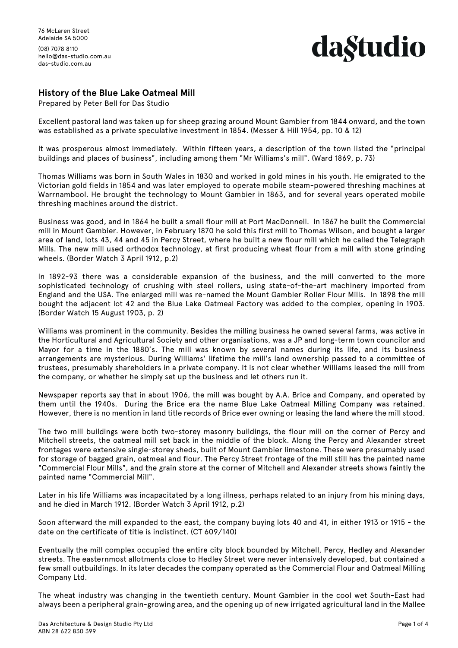76 McLaren Street Adelaide SA 5000 (08) 7078 8110

hello@das-studio.com.au das-studio.com.au

## da§tudio

### **History of the Blue Lake Oatmeal Mill**

Prepared by Peter Bell for Das Studio

Excellent pastoral land was taken up for sheep grazing around Mount Gambier from 1844 onward, and the town was established as a private speculative investment in 1854. (Messer & Hill 1954, pp. 10 & 12)

It was prosperous almost immediately. Within fifteen years, a description of the town listed the "principal buildings and places of business", including among them "Mr Williams's mill". (Ward 1869, p. 73)

Thomas Williams was born in South Wales in 1830 and worked in gold mines in his youth. He emigrated to the Victorian gold fields in 1854 and was later employed to operate mobile steam-powered threshing machines at Warrnambool. He brought the technology to Mount Gambier in 1863, and for several years operated mobile threshing machines around the district.

Business was good, and in 1864 he built a small flour mill at Port MacDonnell. In 1867 he built the Commercial mill in Mount Gambier. However, in February 1870 he sold this first mill to Thomas Wilson, and bought a larger area of land, lots 43, 44 and 45 in Percy Street, where he built a new flour mill which he called the Telegraph Mills. The new mill used orthodox technology, at first producing wheat flour from a mill with stone grinding wheels. (Border Watch 3 April 1912, p.2)

In 1892-93 there was a considerable expansion of the business, and the mill converted to the more sophisticated technology of crushing with steel rollers, using state-of-the-art machinery imported from England and the USA. The enlarged mill was re-named the Mount Gambier Roller Flour Mills. In 1898 the mill bought the adjacent lot 42 and the Blue Lake Oatmeal Factory was added to the complex, opening in 1903. (Border Watch 15 August 1903, p. 2)

Williams was prominent in the community. Besides the milling business he owned several farms, was active in the Horticultural and Agricultural Society and other organisations, was a JP and long-term town councilor and Mayor for a time in the 1880's. The mill was known by several names during its life, and its business arrangements are mysterious. During Williams' lifetime the mill's land ownership passed to a committee of trustees, presumably shareholders in a private company. It is not clear whether Williams leased the mill from the company, or whether he simply set up the business and let others run it.

Newspaper reports say that in about 1906, the mill was bought by A.A. Brice and Company, and operated by them until the 1940s. During the Brice era the name Blue Lake Oatmeal Milling Company was retained. However, there is no mention in land title records of Brice ever owning or leasing the land where the mill stood.

The two mill buildings were both two-storey masonry buildings, the flour mill on the corner of Percy and Mitchell streets, the oatmeal mill set back in the middle of the block. Along the Percy and Alexander street frontages were extensive single-storey sheds, built of Mount Gambier limestone. These were presumably used for storage of bagged grain, oatmeal and flour. The Percy Street frontage of the mill still has the painted name "Commercial Flour Mills", and the grain store at the corner of Mitchell and Alexander streets shows faintly the painted name "Commercial Mill".

Later in his life Williams was incapacitated by a long illness, perhaps related to an injury from his mining days, and he died in March 1912. (Border Watch 3 April 1912, p.2)

Soon afterward the mill expanded to the east, the company buying lots 40 and 41, in either 1913 or 1915 - the date on the certificate of title is indistinct. (CT 609/140)

Eventually the mill complex occupied the entire city block bounded by Mitchell, Percy, Hedley and Alexander streets. The easternmost allotments close to Hedley Street were never intensively developed, but contained a few small outbuildings. In its later decades the company operated as the Commercial Flour and Oatmeal Milling Company Ltd.

The wheat industry was changing in the twentieth century. Mount Gambier in the cool wet South-East had always been a peripheral grain-growing area, and the opening up of new irrigated agricultural land in the Mallee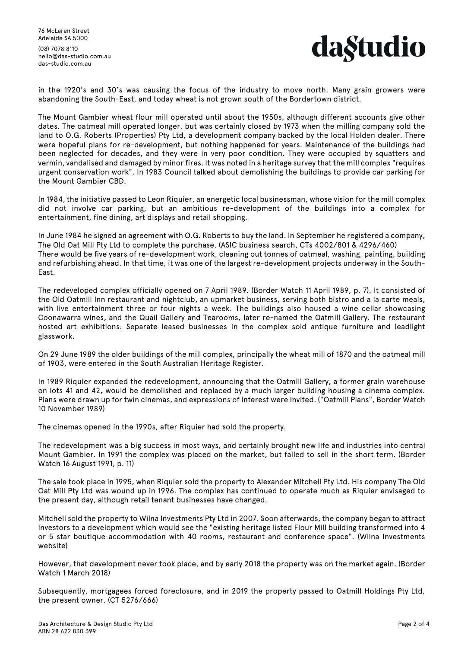76 McLaren Street Adelaide SA 5000

(08) 7078 8110 hello@das-studio.com.au das-studio.com.au



in the 1920's and 30's was causing the focus of the industry to move north. Many grain growers were abandoning the South-East, and today wheat is not grown south of the Bordertown district.

The Mount Gambier wheat flour mill operated until about the 1950s, although different accounts give other dates. The oatmeal mill operated longer, but was certainly closed by 1973 when the milling company sold the land to O.G. Roberts (Properties) Pty Ltd, a development company backed by the local Holden dealer. There were hopeful plans for re-development, but nothing happened for years. Maintenance of the buildings had been neglected for decades, and they were in very poor condition. They were occupied by squatters and vermin, vandalised and damaged by minor fires. It was noted in a heritage survey that the mill complex "requires urgent conservation work". In 1983 Council talked about demolishing the buildings to provide car parking for the Mount Gambier CBD.

In 1984, the initiative passed to Leon Riquier, an energetic local businessman, whose vision for the mill complex did not involve car parking, but an ambitious re-development of the buildings into a complex for entertainment, fine dining, art displays and retail shopping.

In June 1984 he signed an agreement with O.G. Roberts to buy the land. In September he registered a company, The Old Oat Mill Pty Ltd to complete the purchase. (ASIC business search, CTs 4002/801 & 4296/460) There would be five years of re-development work, cleaning out tonnes of oatmeal, washing, painting, building and refurbishing ahead. In that time, it was one of the largest re-development projects underway in the South-East.

The redeveloped complex officially opened on 7 April 1989. (Border Watch 11 April 1989, p. 7). It consisted of the Old Oatmill Inn restaurant and nightclub, an upmarket business, serving both bistro and a la carte meals, with live entertainment three or four nights a week. The buildings also housed a wine cellar showcasing Coonawarra wines, and the Quail Gallery and Tearooms, later re-named the Oatmill Gallery. The restaurant hosted art exhibitions. Separate leased businesses in the complex sold antique furniture and leadlight glasswork.

On 29 June 1989 the older buildings of the mill complex, principally the wheat mill of 1870 and the oatmeal mill of 1903, were entered in the South Australian Heritage Register.

In 1989 Riquier expanded the redevelopment, announcing that the Oatmill Gallery, a former grain warehouse on lots 41 and 42, would be demolished and replaced by a much larger building housing a cinema complex. Plans were drawn up for twin cinemas, and expressions of interest were invited. ("Oatmill Plans", Border Watch 10 November 1989)

The cinemas opened in the 1990s, after Riquier had sold the property.

The redevelopment was a big success in most ways, and certainly brought new life and industries into central Mount Gambier. In 1991 the complex was placed on the market, but failed to sell in the short term. (Border Watch 16 August 1991, p. 11)

The sale took place in 1995, when Riquier sold the property to Alexander Mitchell Pty Ltd. His company The Old Oat Mill Pty Ltd was wound up in 1996. The complex has continued to operate much as Riquier envisaged to the present day, although retail tenant businesses have changed.

Mitchell sold the property to Wilna Investments Pty Ltd in 2007. Soon afterwards, the company began to attract investors to a development which would see the "existing heritage listed Flour Mill building transformed into 4 or 5 star boutique accommodation with 40 rooms, restaurant and conference space". (Wilna Investments website)

However, that development never took place, and by early 2018 the property was on the market again. (Border Watch 1 March 2018)

Subsequently, mortgagees forced foreclosure, and in 2019 the property passed to Oatmill Holdings Pty Ltd, the present owner. (CT 5276/666)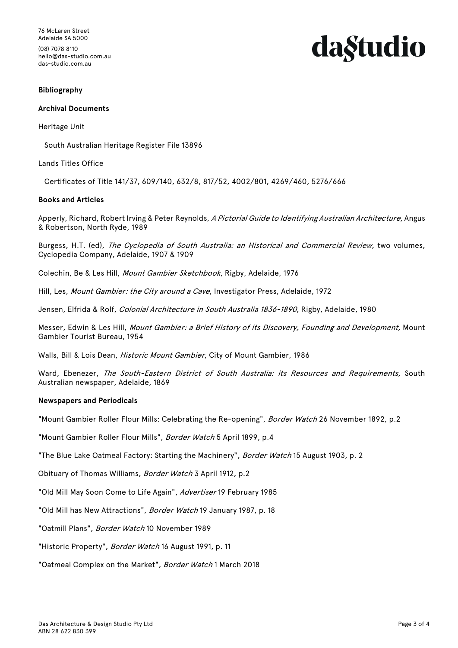76 McLaren Street Adelaide SA 5000

(08) 7078 8110 hello@das-studio.com.au das-studio.com.au

# da§tudio

#### **Bibliography**

#### **Archival Documents**

#### Heritage Unit

South Australian Heritage Register File 13896

#### Lands Titles Office

Certificates of Title 141/37, 609/140, 632/8, 817/52, 4002/801, 4269/460, 5276/666

#### **Books and Articles**

Apperly, Richard, Robert Irving & Peter Reynolds, A Pictorial Guide to Identifying Australian Architecture, Angus & Robertson, North Ryde, 1989

Burgess, H.T. (ed), The Cyclopedia of South Australia: an Historical and Commercial Review, two volumes, Cyclopedia Company, Adelaide, 1907 & 1909

Colechin, Be & Les Hill, Mount Gambier Sketchbook, Rigby, Adelaide, 1976

Hill, Les, Mount Gambier: the City around a Cave, Investigator Press, Adelaide, 1972

Jensen, Elfrida & Rolf, Colonial Architecture in South Australia 1836-1890, Rigby, Adelaide, 1980

Messer, Edwin & Les Hill, Mount Gambier: a Brief History of its Discovery, Founding and Development, Mount Gambier Tourist Bureau, 1954

Walls, Bill & Lois Dean, Historic Mount Gambier, City of Mount Gambier, 1986

Ward, Ebenezer, The South-Eastern District of South Australia: its Resources and Requirements, South Australian newspaper, Adelaide, 1869

#### **Newspapers and Periodicals**

"Mount Gambier Roller Flour Mills: Celebrating the Re-opening", Border Watch 26 November 1892, p.2

"Mount Gambier Roller Flour Mills", Border Watch 5 April 1899, p.4

"The Blue Lake Oatmeal Factory: Starting the Machinery", Border Watch 15 August 1903, p. 2

Obituary of Thomas Williams, Border Watch 3 April 1912, p.2

"Old Mill May Soon Come to Life Again", Advertiser 19 February 1985

"Old Mill has New Attractions", Border Watch 19 January 1987, p. 18

"Oatmill Plans", Border Watch 10 November 1989

"Historic Property", Border Watch 16 August 1991, p. 11

"Oatmeal Complex on the Market", Border Watch 1 March 2018